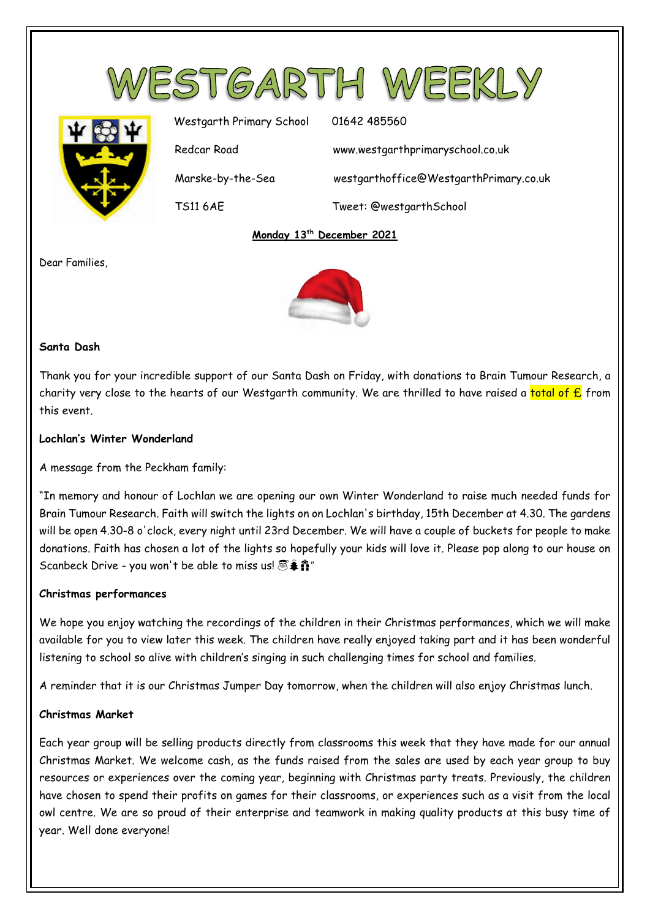

**Monday 13th December 2021**

Dear Families,



# **Santa Dash**

Thank you for your incredible support of our Santa Dash on Friday, with donations to Brain Tumour Research, a charity very close to the hearts of our Westgarth community. We are thrilled to have raised a total of  $E$  from this event.

# **Lochlan's Winter Wonderland**

A message from the Peckham family:

"In memory and honour of Lochlan we are opening our own Winter Wonderland to raise much needed funds for Brain Tumour Research. Faith will switch the lights on on Lochlan's birthday, 15th December at 4.30. The gardens will be open 4.30-8 o'clock, every night until 23rd December. We will have a couple of buckets for people to make donations. Faith has chosen a lot of the lights so hopefully your kids will love it. Please pop along to our house on Scanbeck Drive - you won't be able to miss us!  $\mathbb{S}\hat{\ast}\hat{\mathbb{n}}$ "

### **Christmas performances**

We hope you enjoy watching the recordings of the children in their Christmas performances, which we will make available for you to view later this week. The children have really enjoyed taking part and it has been wonderful listening to school so alive with children's singing in such challenging times for school and families.

A reminder that it is our Christmas Jumper Day tomorrow, when the children will also enjoy Christmas lunch.

### **Christmas Market**

Each year group will be selling products directly from classrooms this week that they have made for our annual Christmas Market. We welcome cash, as the funds raised from the sales are used by each year group to buy resources or experiences over the coming year, beginning with Christmas party treats. Previously, the children have chosen to spend their profits on games for their classrooms, or experiences such as a visit from the local owl centre. We are so proud of their enterprise and teamwork in making quality products at this busy time of year. Well done everyone!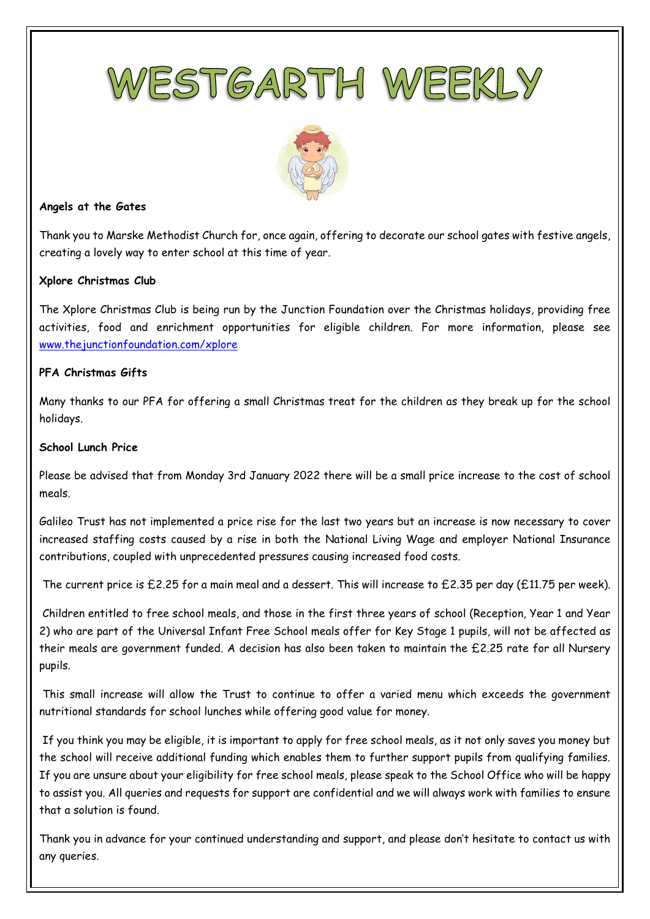



#### **Angels at the Gates**

Thank you to Marske Methodist Church for, once again, offering to decorate our school gates with festive angels, creating a lovely way to enter school at this time of year.

### **Xplore Christmas Club**

The Xplore Christmas Club is being run by the Junction Foundation over the Christmas holidays, providing free activities, food and enrichment opportunities for eligible children. For more information, please see [www.thejunctionfoundation.com/xplore](http://www.thejunctionfoundation.com/xplore) 

### **PFA Christmas Gifts**

Many thanks to our PFA for offering a small Christmas treat for the children as they break up for the school holidays.

#### **School Lunch Price**

Please be advised that from Monday 3rd January 2022 there will be a small price increase to the cost of school meals.

Galileo Trust has not implemented a price rise for the last two years but an increase is now necessary to cover increased staffing costs caused by a rise in both the National Living Wage and employer National Insurance contributions, coupled with unprecedented pressures causing increased food costs.

The current price is £2.25 for a main meal and a dessert. This will increase to £2.35 per day (£11.75 per week).

Children entitled to free school meals, and those in the first three years of school (Reception, Year 1 and Year 2) who are part of the Universal Infant Free School meals offer for Key Stage 1 pupils, will not be affected as their meals are government funded. A decision has also been taken to maintain the £2.25 rate for all Nursery pupils.

This small increase will allow the Trust to continue to offer a varied menu which exceeds the government nutritional standards for school lunches while offering good value for money.

If you think you may be eligible, it is important to apply for free school meals, as it not only saves you money but the school will receive additional funding which enables them to further support pupils from qualifying families. If you are unsure about your eligibility for free school meals, please speak to the School Office who will be happy to assist you. All queries and requests for support are confidential and we will always work with families to ensure that a solution is found.

Thank you in advance for your continued understanding and support, and please don't hesitate to contact us with any queries.